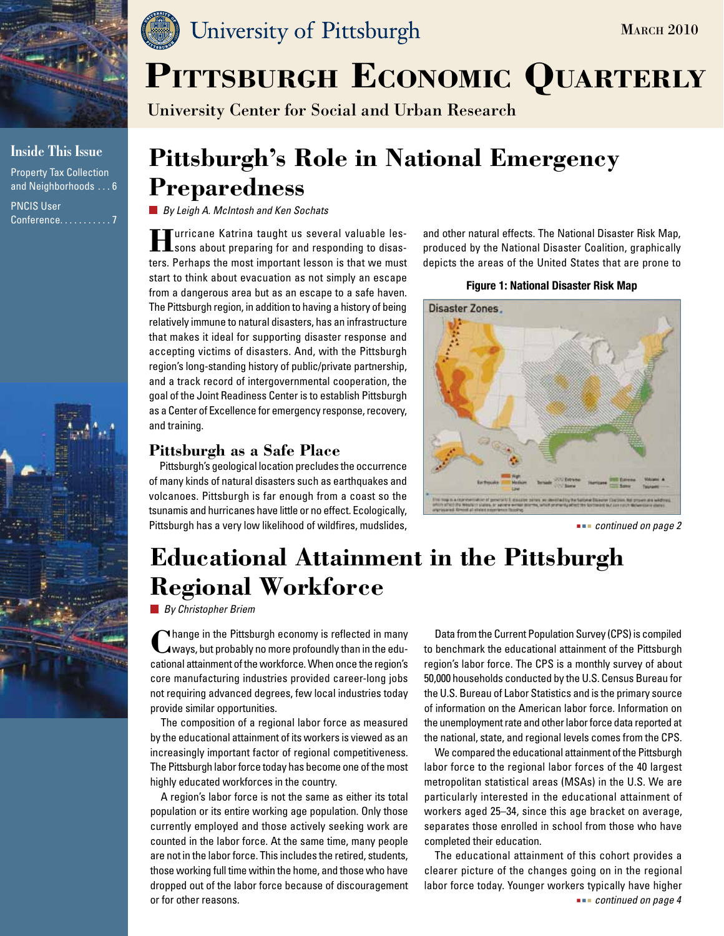

### **Inside This Issue**

Property Tax Collection and Neighborhoods . . . 6 PNCIS User Conference. . . . . . . . . . 7





University Center for Social and Urban Research

# **Pittsburgh's Role in National Emergency Preparedness**

*By Leigh A. McIntosh and Ken Sochats*

**Hurricane Katrina taught us several valuable les-**<br>**H**isons about preparing for and responding to disasters. Perhaps the most important lesson is that we must start to think about evacuation as not simply an escape from a dangerous area but as an escape to a safe haven. The Pittsburgh region, in addition to having a history of being relatively immune to natural disasters, has an infrastructure that makes it ideal for supporting disaster response and accepting victims of disasters. And, with the Pittsburgh region's long-standing history of public/private partnership, and a track record of intergovernmental cooperation, the goal of the Joint Readiness Center is to establish Pittsburgh as a Center of Excellence for emergency response, recovery, and training.

# **Pittsburgh as a Safe Place**

Pittsburgh's geological location precludes the occurrence of many kinds of natural disasters such as earthquakes and volcanoes. Pittsburgh is far enough from a coast so the tsunamis and hurricanes have little or no effect. Ecologically, Pittsburgh has a very low likelihood of wildfires, mudslides, *continued on page 2* **continued on page 2** 

and other natural effects. The National Disaster Risk Map, produced by the National Disaster Coalition, graphically depicts the areas of the United States that are prone to

### **Figure 1: National Disaster Risk Map**



# **Educational Attainment in the Pittsburgh Regional Workforce**

*By Christopher Briem*

**C**hange in the Pittsburgh economy is reflected in many ways, but probably no more profoundly than in the educational attainment of the workforce. When once the region's core manufacturing industries provided career-long jobs not requiring advanced degrees, few local industries today provide similar opportunities.

The composition of a regional labor force as measured by the educational attainment of its workers is viewed as an increasingly important factor of regional competitiveness. The Pittsburgh labor force today has become one of the most highly educated workforces in the country.

A region's labor force is not the same as either its total population or its entire working age population. Only those currently employed and those actively seeking work are counted in the labor force. At the same time, many people are not in the labor force. This includes the retired, students, those working full time within the home, and those who have dropped out of the labor force because of discouragement or for other reasons.

Data from the Current Population Survey (CPS) is compiled to benchmark the educational attainment of the Pittsburgh region's labor force. The CPS is a monthly survey of about 50,000 households conducted by the U.S. Census Bureau for the U.S. Bureau of Labor Statistics and is the primary source of information on the American labor force. Information on the unemployment rate and other labor force data reported at the national, state, and regional levels comes from the CPS.

We compared the educational attainment of the Pittsburgh labor force to the regional labor forces of the 40 largest metropolitan statistical areas (MSAs) in the U.S. We are particularly interested in the educational attainment of workers aged 25–34, since this age bracket on average, separates those enrolled in school from those who have completed their education.

The educational attainment of this cohort provides a clearer picture of the changes going on in the regional labor force today. Younger workers typically have higher  *continued on page 4*

**MARCH 2010**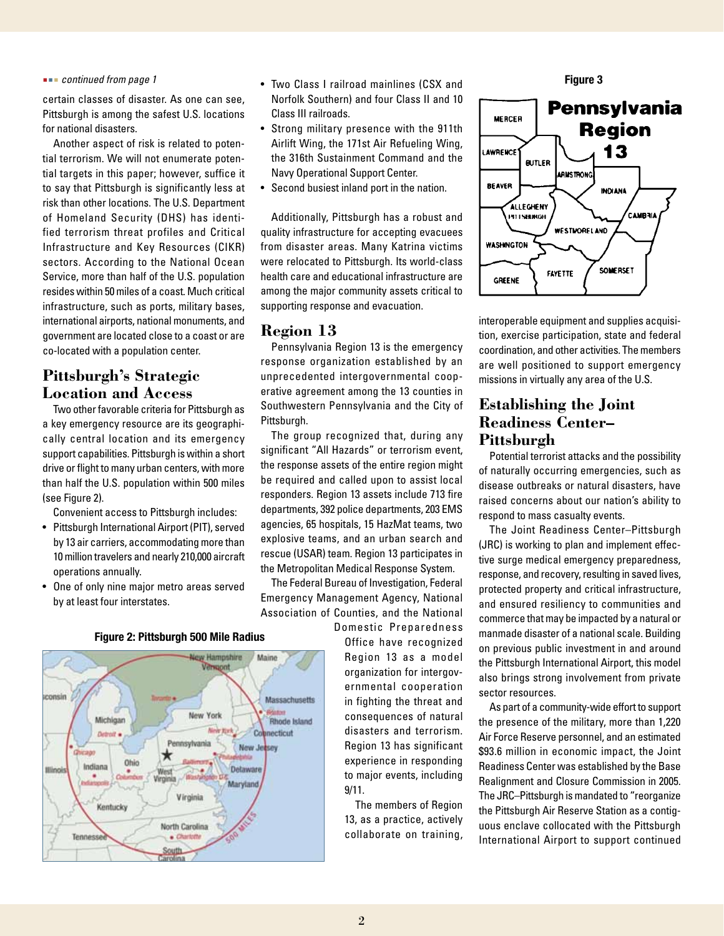#### *continued from page 1*

certain classes of disaster. As one can see, Pittsburgh is among the safest U.S. locations for national disasters.

Another aspect of risk is related to potential terrorism. We will not enumerate potential targets in this paper; however, suffice it to say that Pittsburgh is significantly less at risk than other locations. The U.S. Department of Homeland Security (DHS) has identified terrorism threat profiles and Critical Infrastructure and Key Resources (CIKR) sectors. According to the National Ocean Service, more than half of the U.S. population resides within 50 miles of a coast. Much critical infrastructure, such as ports, military bases, international airports, national monuments, and government are located close to a coast or are co-located with a population center.

## **Pittsburgh's Strategic Location and Access**

Two other favorable criteria for Pittsburgh as a key emergency resource are its geographically central location and its emergency support capabilities. Pittsburgh is within a short drive or flight to many urban centers, with more than half the U.S. population within 500 miles (see Figure 2).

Convenient access to Pittsburgh includes:

- • Pittsburgh International Airport (PIT), served by 13 air carriers, accommodating more than 10 million travelers and nearly 210,000 aircraft operations annually.
- One of only nine major metro areas served by at least four interstates.
- v Hampshire Maine Verspont sconsin Massachusetts New York Michigan Rhode Island Cot ecticut Detroit o Pennsylvania New Jeesey Ghicado × Ohio Indiana Detaware Illinoi ۰ West Virgin Maryland Virginia Kentucky North Carolina Tennesse  $= 120$
- • Two Class I railroad mainlines (CSX and Norfolk Southern) and four Class II and 10 Class III railroads.
- • Strong military presence with the 911th Airlift Wing, the 171st Air Refueling Wing, the 316th Sustainment Command and the Navy Operational Support Center.
- Second busiest inland port in the nation.

Additionally, Pittsburgh has a robust and quality infrastructure for accepting evacuees from disaster areas. Many Katrina victims were relocated to Pittsburgh. Its world-class health care and educational infrastructure are among the major community assets critical to supporting response and evacuation.

### **Region 13**

Pennsylvania Region 13 is the emergency response organization established by an unprecedented intergovernmental cooperative agreement among the 13 counties in Southwestern Pennsylvania and the City of Pittsburgh.

The group recognized that, during any significant "All Hazards" or terrorism event, the response assets of the entire region might be required and called upon to assist local responders. Region 13 assets include 713 fire departments, 392 police departments, 203 EMS agencies, 65 hospitals, 15 HazMat teams, two explosive teams, and an urban search and rescue (USAR) team. Region 13 participates in the Metropolitan Medical Response System.

The Federal Bureau of Investigation, Federal Emergency Management Agency, National Association of Counties, and the National

Domestic Preparedness Office have recognized Region 13 as a model organization for intergovernmental cooperation in fighting the threat and consequences of natural disasters and terrorism. Region 13 has significant experience in responding to major events, including 9/11.

The members of Region 13, as a practice, actively collaborate on training,





interoperable equipment and supplies acquisition, exercise participation, state and federal coordination, and other activities. The members are well positioned to support emergency missions in virtually any area of the U.S.

## **Establishing the Joint Readiness Center– Pittsburgh**

Potential terrorist attacks and the possibility of naturally occurring emergencies, such as disease outbreaks or natural disasters, have raised concerns about our nation's ability to respond to mass casualty events.

The Joint Readiness Center–Pittsburgh (JRC) is working to plan and implement effective surge medical emergency preparedness, response, and recovery, resulting in saved lives, protected property and critical infrastructure, and ensured resiliency to communities and commerce that may be impacted by a natural or manmade disaster of a national scale. Building on previous public investment in and around the Pittsburgh International Airport, this model also brings strong involvement from private sector resources.

As part of a community-wide effort to support the presence of the military, more than 1,220 Air Force Reserve personnel, and an estimated \$93.6 million in economic impact, the Joint Readiness Center was established by the Base Realignment and Closure Commission in 2005. The JRC–Pittsburgh is mandated to "reorganize the Pittsburgh Air Reserve Station as a contiguous enclave collocated with the Pittsburgh International Airport to support continued

#### **Figure 2: Pittsburgh 500 Mile Radius**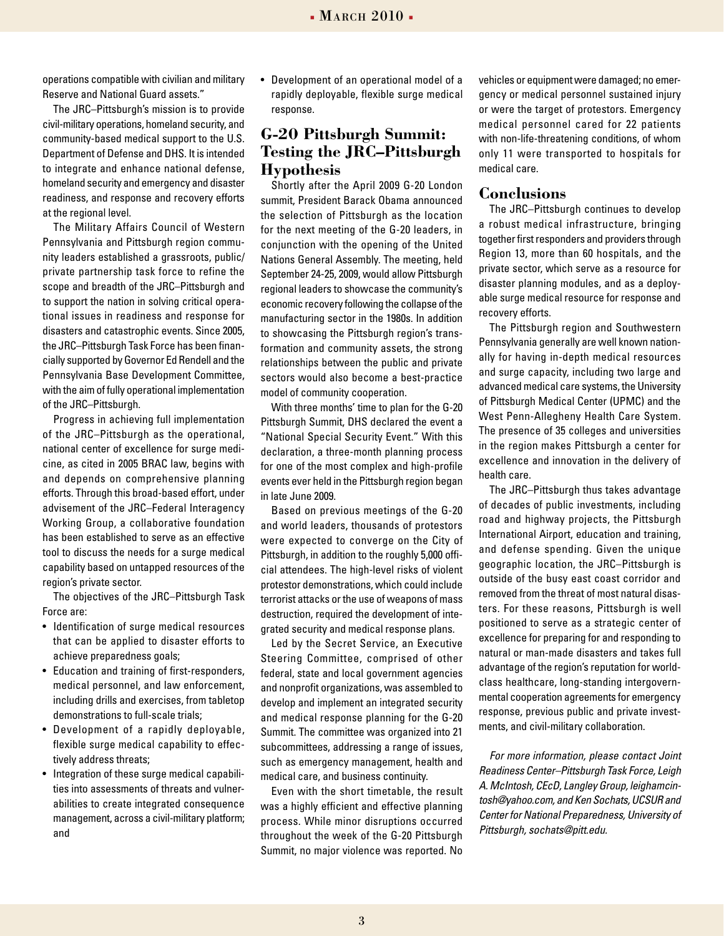operations compatible with civilian and military Reserve and National Guard assets."

The JRC–Pittsburgh's mission is to provide civil-military operations, homeland security, and community-based medical support to the U.S. Department of Defense and DHS. It is intended to integrate and enhance national defense, homeland security and emergency and disaster readiness, and response and recovery efforts at the regional level.

The Military Affairs Council of Western Pennsylvania and Pittsburgh region community leaders established a grassroots, public/ private partnership task force to refine the scope and breadth of the JRC–Pittsburgh and to support the nation in solving critical operational issues in readiness and response for disasters and catastrophic events. Since 2005, the JRC–Pittsburgh Task Force has been financially supported by Governor Ed Rendell and the Pennsylvania Base Development Committee, with the aim of fully operational implementation of the JRC–Pittsburgh.

Progress in achieving full implementation of the JRC–Pittsburgh as the operational, national center of excellence for surge medicine, as cited in 2005 BRAC law, begins with and depends on comprehensive planning efforts. Through this broad-based effort, under advisement of the JRC–Federal Interagency Working Group, a collaborative foundation has been established to serve as an effective tool to discuss the needs for a surge medical capability based on untapped resources of the region's private sector.

The objectives of the JRC–Pittsburgh Task Force are:

- Identification of surge medical resources that can be applied to disaster efforts to achieve preparedness goals;
- Education and training of first-responders, medical personnel, and law enforcement, including drills and exercises, from tabletop demonstrations to full-scale trials;
- Development of a rapidly deployable, flexible surge medical capability to effectively address threats;
- Integration of these surge medical capabilities into assessments of threats and vulnerabilities to create integrated consequence management, across a civil-military platform; and

• Development of an operational model of a rapidly deployable, flexible surge medical response.

# **G-20 Pittsburgh Summit: Testing the JRC–Pittsburgh Hypothesis**

Shortly after the April 2009 G-20 London summit, President Barack Obama announced the selection of Pittsburgh as the location for the next meeting of the G-20 leaders, in conjunction with the opening of the United Nations General Assembly. The meeting, held September 24-25, 2009, would allow Pittsburgh regional leaders to showcase the community's economic recovery following the collapse of the manufacturing sector in the 1980s. In addition to showcasing the Pittsburgh region's transformation and community assets, the strong relationships between the public and private sectors would also become a best-practice model of community cooperation.

With three months' time to plan for the G-20 Pittsburgh Summit, DHS declared the event a "National Special Security Event." With this declaration, a three-month planning process for one of the most complex and high-profile events ever held in the Pittsburgh region began in late June 2009.

Based on previous meetings of the G-20 and world leaders, thousands of protestors were expected to converge on the City of Pittsburgh, in addition to the roughly 5,000 official attendees. The high-level risks of violent protestor demonstrations, which could include terrorist attacks or the use of weapons of mass destruction, required the development of integrated security and medical response plans.

Led by the Secret Service, an Executive Steering Committee, comprised of other federal, state and local government agencies and nonprofit organizations, was assembled to develop and implement an integrated security and medical response planning for the G-20 Summit. The committee was organized into 21 subcommittees, addressing a range of issues, such as emergency management, health and medical care, and business continuity.

Even with the short timetable, the result was a highly efficient and effective planning process. While minor disruptions occurred throughout the week of the G-20 Pittsburgh Summit, no major violence was reported. No

vehicles or equipment were damaged; no emergency or medical personnel sustained injury or were the target of protestors. Emergency medical personnel cared for 22 patients with non-life-threatening conditions, of whom only 11 were transported to hospitals for medical care.

### **Conclusions**

The JRC–Pittsburgh continues to develop a robust medical infrastructure, bringing together first responders and providers through Region 13, more than 60 hospitals, and the private sector, which serve as a resource for disaster planning modules, and as a deployable surge medical resource for response and recovery efforts.

The Pittsburgh region and Southwestern Pennsylvania generally are well known nationally for having in-depth medical resources and surge capacity, including two large and advanced medical care systems, the University of Pittsburgh Medical Center (UPMC) and the West Penn-Allegheny Health Care System. The presence of 35 colleges and universities in the region makes Pittsburgh a center for excellence and innovation in the delivery of health care.

The JRC–Pittsburgh thus takes advantage of decades of public investments, including road and highway projects, the Pittsburgh International Airport, education and training, and defense spending. Given the unique geographic location, the JRC–Pittsburgh is outside of the busy east coast corridor and removed from the threat of most natural disasters. For these reasons, Pittsburgh is well positioned to serve as a strategic center of excellence for preparing for and responding to natural or man-made disasters and takes full advantage of the region's reputation for worldclass healthcare, long-standing intergovernmental cooperation agreements for emergency response, previous public and private investments, and civil-military collaboration.

*For more information, please contact Joint Readiness Center–Pittsburgh Task Force, Leigh A. McIntosh, CEcD, Langley Group, leighamcintosh@yahoo.com, and Ken Sochats, UCSUR and Center for National Preparedness, University of Pittsburgh, sochats@pitt.edu.*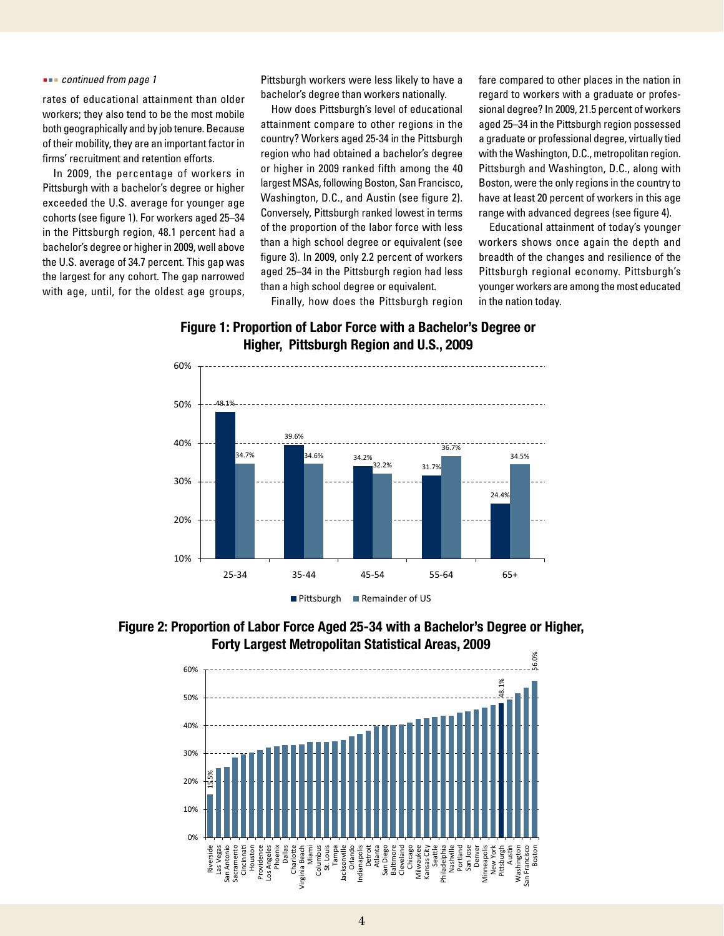#### *continued from page 1*

rates of educational attainment than older workers; they also tend to be the most mobile both geographically and by job tenure. Because of their mobility, they are an important factor in firms' recruitment and retention efforts.

In 2009, the percentage of workers in Pittsburgh with a bachelor's degree or higher exceeded the U.S. average for younger age cohorts (see figure 1). For workers aged 25–34 in the Pittsburgh region, 48.1 percent had a bachelor's degree or higher in 2009, well above the U.S. average of 34.7 percent. This gap was the largest for any cohort. The gap narrowed with age, until, for the oldest age groups, Pittsburgh workers were less likely to have a bachelor's degree than workers nationally.

How does Pittsburgh's level of educational attainment compare to other regions in the country? Workers aged 25-34 in the Pittsburgh region who had obtained a bachelor's degree or higher in 2009 ranked fifth among the 40 largest MSAs, following Boston, San Francisco, Washington, D.C., and Austin (see figure 2). Conversely, Pittsburgh ranked lowest in terms of the proportion of the labor force with less than a high school degree or equivalent (see figure 3). In 2009, only 2.2 percent of workers aged 25–34 in the Pittsburgh region had less than a high school degree or equivalent.

Finally, how does the Pittsburgh region

fare compared to other places in the nation in regard to workers with a graduate or professional degree? In 2009, 21.5 percent of workers aged 25–34 in the Pittsburgh region possessed a graduate or professional degree, virtually tied with the Washington, D.C., metropolitan region. Pittsburgh and Washington, D.C., along with Boston, were the only regions in the country to have at least 20 percent of workers in this age range with advanced degrees (see figure 4).

Educational attainment of today's younger workers shows once again the depth and breadth of the changes and resilience of the Pittsburgh regional economy. Pittsburgh's younger workers are among the most educated in the nation today.







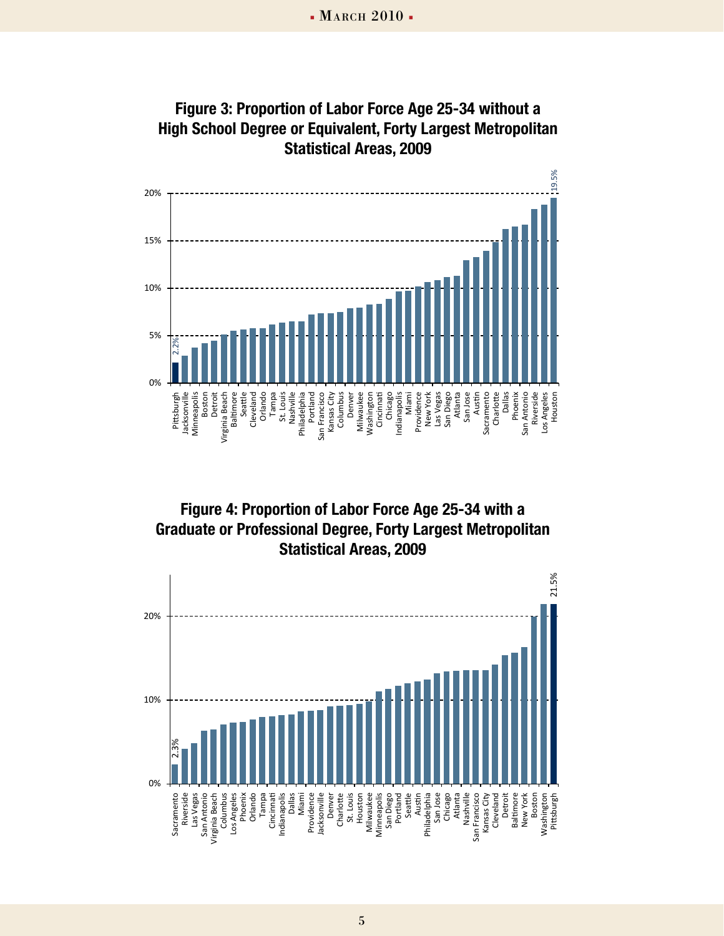

 $\frac{3}{2}$   $\frac{1}{2}$   $\frac{1}{2}$   $\frac{1}{2}$   $\frac{1}{2}$   $\frac{1}{2}$   $\frac{1}{2}$   $\frac{1}{2}$   $\frac{1}{2}$   $\frac{1}{2}$   $\frac{1}{2}$   $\frac{1}{2}$   $\frac{1}{2}$   $\frac{1}{2}$   $\frac{1}{2}$   $\frac{1}{2}$   $\frac{1}{2}$   $\frac{1}{2}$   $\frac{1}{2}$   $\frac{1}{2}$   $\frac{1}{2}$   $\frac{1}{2}$  **Statistical Areas, 2009 Figure 3: Proportion of Labor Force Age 25-34 without a High School Degree or Equivalent, Forty Largest Metropolitan** 



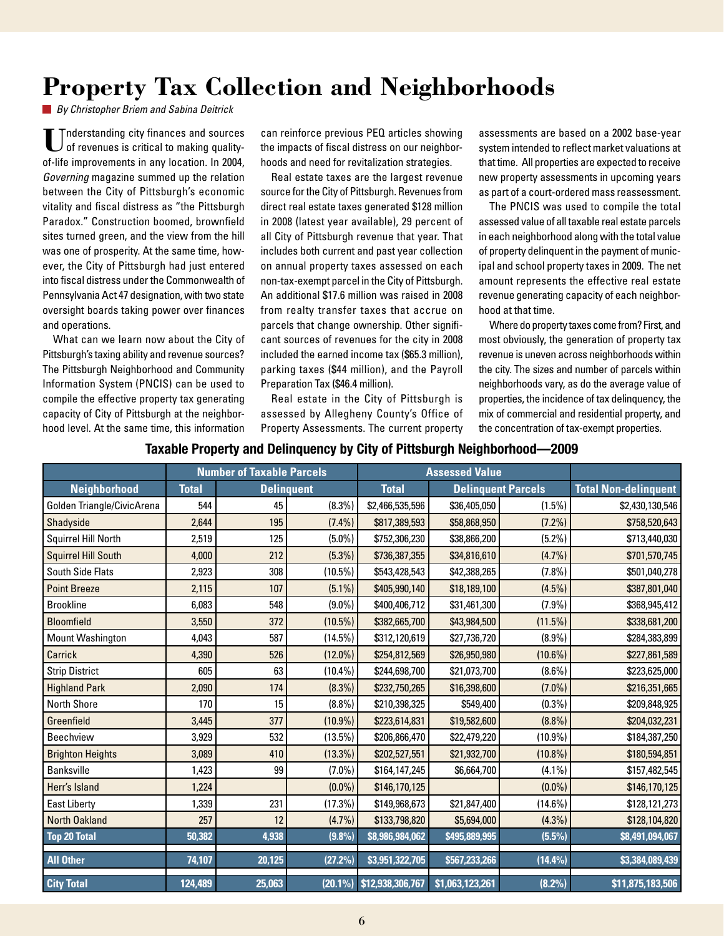# **Property Tax Collection and Neighborhoods**

*By Christopher Briem and Sabina Deitrick*

**U**nderstanding city finances and sources of revenues is critical to making qualityof-life improvements in any location. In 2004, *Governing* magazine summed up the relation between the City of Pittsburgh's economic vitality and fiscal distress as "the Pittsburgh Paradox." Construction boomed, brownfield sites turned green, and the view from the hill was one of prosperity. At the same time, however, the City of Pittsburgh had just entered into fiscal distress under the Commonwealth of Pennsylvania Act 47 designation, with two state oversight boards taking power over finances and operations.

What can we learn now about the City of Pittsburgh's taxing ability and revenue sources? The Pittsburgh Neighborhood and Community Information System (PNCIS) can be used to compile the effective property tax generating capacity of City of Pittsburgh at the neighborhood level. At the same time, this information can reinforce previous PEQ articles showing the impacts of fiscal distress on our neighborhoods and need for revitalization strategies.

Real estate taxes are the largest revenue source for the City of Pittsburgh. Revenues from direct real estate taxes generated \$128 million in 2008 (latest year available), 29 percent of all City of Pittsburgh revenue that year. That includes both current and past year collection on annual property taxes assessed on each non-tax-exempt parcel in the City of Pittsburgh. An additional \$17.6 million was raised in 2008 from realty transfer taxes that accrue on parcels that change ownership. Other significant sources of revenues for the city in 2008 included the earned income tax (\$65.3 million), parking taxes (\$44 million), and the Payroll Preparation Tax (\$46.4 million).

Real estate in the City of Pittsburgh is assessed by Allegheny County's Office of Property Assessments. The current property

assessments are based on a 2002 base-year system intended to reflect market valuations at that time. All properties are expected to receive new property assessments in upcoming years as part of a court-ordered mass reassessment.

The PNCIS was used to compile the total assessed value of all taxable real estate parcels in each neighborhood along with the total value of property delinquent in the payment of municipal and school property taxes in 2009. The net amount represents the effective real estate revenue generating capacity of each neighborhood at that time.

Where do property taxes come from? First, and most obviously, the generation of property tax revenue is uneven across neighborhoods within the city. The sizes and number of parcels within neighborhoods vary, as do the average value of properties, the incidence of tax delinquency, the mix of commercial and residential property, and the concentration of tax-exempt properties.

### **Taxable Property and Delinquency by City of Pittsburgh Neighborhood—2009**

|                            | <b>Number of Taxable Parcels</b> |                   |            | <b>Assessed Value</b> |                           |            |                             |
|----------------------------|----------------------------------|-------------------|------------|-----------------------|---------------------------|------------|-----------------------------|
| <b>Neighborhood</b>        | <b>Total</b>                     | <b>Delinquent</b> |            | <b>Total</b>          | <b>Delinquent Parcels</b> |            | <b>Total Non-delinquent</b> |
| Golden Triangle/CivicArena | 544                              | 45                | $(8.3\%)$  | \$2,466,535,596       | \$36,405,050              | $(1.5\%)$  | \$2,430,130,546             |
| Shadyside                  | 2,644                            | 195               | $(7.4\%)$  | \$817,389,593         | \$58,868,950              | $(7.2\%)$  | \$758,520,643               |
| <b>Squirrel Hill North</b> | 2,519                            | 125               | $(5.0\%)$  | \$752,306,230         | \$38,866,200              | $(5.2\%)$  | \$713,440,030               |
| <b>Squirrel Hill South</b> | 4,000                            | 212               | $(5.3\%)$  | \$736,387,355         | \$34,816,610              | (4.7%)     | \$701,570,745               |
| South Side Flats           | 2,923                            | 308               | $(10.5\%)$ | \$543,428,543         | \$42,388,265              | $(7.8\%)$  | \$501,040,278               |
| <b>Point Breeze</b>        | 2,115                            | 107               | $(5.1\%)$  | \$405,990,140         | \$18,189,100              | $(4.5\%)$  | \$387,801,040               |
| <b>Brookline</b>           | 6,083                            | 548               | $(9.0\%)$  | \$400,406,712         | \$31,461,300              | $(7.9\%)$  | \$368,945,412               |
| <b>Bloomfield</b>          | 3,550                            | 372               | $(10.5\%)$ | \$382,665,700         | \$43,984,500              | (11.5%)    | \$338,681,200               |
| <b>Mount Washington</b>    | 4,043                            | 587               | $(14.5\%)$ | \$312,120,619         | \$27,736,720              | $(8.9\%)$  | \$284,383,899               |
| Carrick                    | 4,390                            | 526               | $(12.0\%)$ | \$254,812,569         | \$26,950,980              | $(10.6\%)$ | \$227,861,589               |
| <b>Strip District</b>      | 605                              | 63                | $(10.4\%)$ | \$244,698,700         | \$21,073,700              | $(8.6\%)$  | \$223,625,000               |
| <b>Highland Park</b>       | 2,090                            | 174               | $(8.3\%)$  | \$232,750,265         | \$16,398,600              | $(7.0\%)$  | \$216,351,665               |
| North Shore                | 170                              | 15                | $(8.8\%)$  | \$210,398,325         | \$549,400                 | $(0.3\%)$  | \$209,848,925               |
| Greenfield                 | 3,445                            | 377               | $(10.9\%)$ | \$223,614,831         | \$19,582,600              | $(8.8\%)$  | \$204,032,231               |
| <b>Beechview</b>           | 3,929                            | 532               | $(13.5\%)$ | \$206,866,470         | \$22,479,220              | $(10.9\%)$ | \$184,387,250               |
| <b>Brighton Heights</b>    | 3,089                            | 410               | $(13.3\%)$ | \$202,527,551         | \$21,932,700              | $(10.8\%)$ | \$180,594,851               |
| <b>Banksville</b>          | 1,423                            | 99                | $(7.0\%)$  | \$164,147,245         | \$6,664,700               | $(4.1\%)$  | \$157,482,545               |
| Herr's Island              | 1,224                            |                   | $(0.0\%)$  | \$146,170,125         |                           | $(0.0\%)$  | \$146,170,125               |
| <b>East Liberty</b>        | 1,339                            | 231               | (17.3%)    | \$149,968,673         | \$21,847,400              | $(14.6\%)$ | \$128,121,273               |
| North Oakland              | 257                              | 12                | (4.7%)     | \$133,798,820         | \$5,694,000               | $(4.3\%)$  | \$128,104,820               |
| <b>Top 20 Total</b>        | 50,382                           | 4,938             | (9.8%)     | \$8,986,984,062       | \$495,889,995             | $(5.5\%)$  | \$8,491,094,067             |
| <b>All Other</b>           | 74,107                           | 20,125            | (27.2%)    | \$3,951,322,705       | \$567,233,266             | (14.4%)    | \$3,384,089,439             |
| <b>City Total</b>          | 124,489                          | 25,063            | $(20.1\%)$ | \$12,938,306,767      | \$1,063,123,261           | $(8.2\%)$  | \$11,875,183,506            |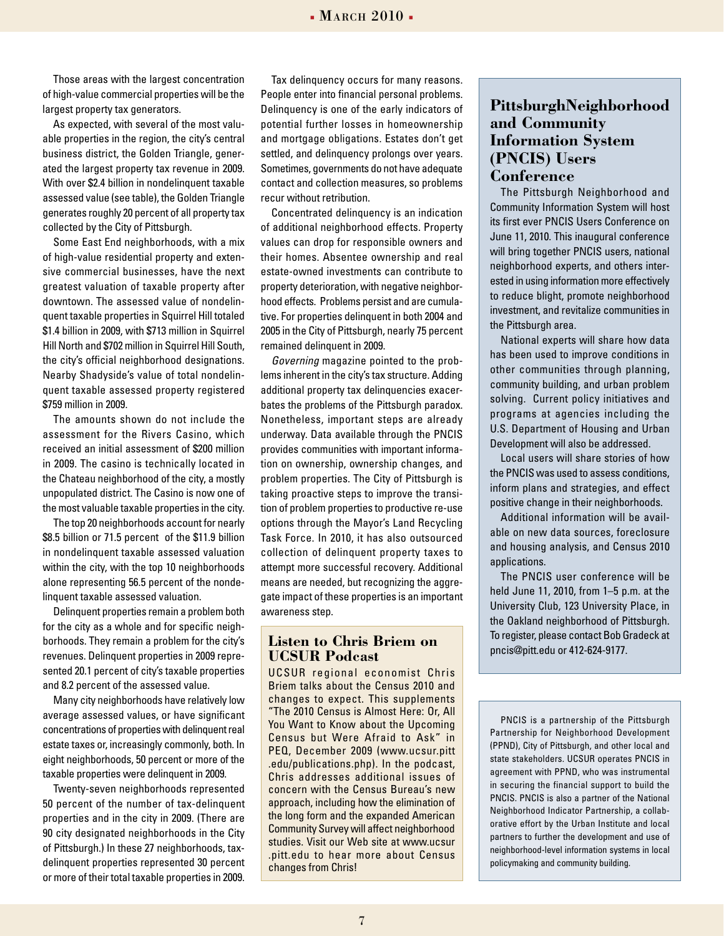Those areas with the largest concentration of high-value commercial properties will be the largest property tax generators.

As expected, with several of the most valuable properties in the region, the city's central business district, the Golden Triangle, generated the largest property tax revenue in 2009. With over \$2.4 billion in nondelinquent taxable assessed value (see table), the Golden Triangle generates roughly 20 percent of all property tax collected by the City of Pittsburgh.

Some East End neighborhoods, with a mix of high-value residential property and extensive commercial businesses, have the next greatest valuation of taxable property after downtown. The assessed value of nondelinquent taxable properties in Squirrel Hill totaled \$1.4 billion in 2009, with \$713 million in Squirrel Hill North and \$702 million in Squirrel Hill South, the city's official neighborhood designations. Nearby Shadyside's value of total nondelinquent taxable assessed property registered \$759 million in 2009.

The amounts shown do not include the assessment for the Rivers Casino, which received an initial assessment of \$200 million in 2009. The casino is technically located in the Chateau neighborhood of the city, a mostly unpopulated district. The Casino is now one of the most valuable taxable properties in the city.

The top 20 neighborhoods account for nearly \$8.5 billion or 71.5 percent of the \$11.9 billion in nondelinquent taxable assessed valuation within the city, with the top 10 neighborhoods alone representing 56.5 percent of the nondelinquent taxable assessed valuation.

Delinquent properties remain a problem both for the city as a whole and for specific neighborhoods. They remain a problem for the city's revenues. Delinquent properties in 2009 represented 20.1 percent of city's taxable properties and 8.2 percent of the assessed value.

Many city neighborhoods have relatively low average assessed values, or have significant concentrations of properties with delinquent real estate taxes or, increasingly commonly, both. In eight neighborhoods, 50 percent or more of the taxable properties were delinquent in 2009.

Twenty-seven neighborhoods represented 50 percent of the number of tax-delinquent properties and in the city in 2009. (There are 90 city designated neighborhoods in the City of Pittsburgh.) In these 27 neighborhoods, taxdelinquent properties represented 30 percent or more of their total taxable properties in 2009.

Tax delinquency occurs for many reasons. People enter into financial personal problems. Delinquency is one of the early indicators of potential further losses in homeownership and mortgage obligations. Estates don't get settled, and delinquency prolongs over years. Sometimes, governments do not have adequate contact and collection measures, so problems recur without retribution.

Concentrated delinquency is an indication of additional neighborhood effects. Property values can drop for responsible owners and their homes. Absentee ownership and real estate-owned investments can contribute to property deterioration, with negative neighborhood effects. Problems persist and are cumulative. For properties delinquent in both 2004 and 2005 in the City of Pittsburgh, nearly 75 percent remained delinquent in 2009.

*Governing* magazine pointed to the problems inherent in the city's tax structure. Adding additional property tax delinquencies exacerbates the problems of the Pittsburgh paradox. Nonetheless, important steps are already underway. Data available through the PNCIS provides communities with important information on ownership, ownership changes, and problem properties. The City of Pittsburgh is taking proactive steps to improve the transition of problem properties to productive re-use options through the Mayor's Land Recycling Task Force. In 2010, it has also outsourced collection of delinquent property taxes to attempt more successful recovery. Additional means are needed, but recognizing the aggregate impact of these properties is an important awareness step.

### **Listen to Chris Briem on UCSUR Podcast**

UCSUR regional economist Chris Briem talks about the Census 2010 and changes to expect. This supplements "The 2010 Census is Almost Here: Or, All You Want to Know about the Upcoming Census but Were Afraid to Ask" in PEQ, December 2009 (www.ucsur.pitt .edu/publications.php). In the podcast, Chris addresses additional issues of concern with the Census Bureau's new approach, including how the elimination of the long form and the expanded American Community Survey will affect neighborhood studies. Visit our Web site at www.ucsur .pitt.edu to hear more about Census changes from Chris!

# **PittsburghNeighborhood and Community Information System (PNCIS) Users Conference**

The Pittsburgh Neighborhood and Community Information System will host its first ever PNCIS Users Conference on June 11, 2010. This inaugural conference will bring together PNCIS users, national neighborhood experts, and others interested in using information more effectively to reduce blight, promote neighborhood investment, and revitalize communities in the Pittsburgh area.

National experts will share how data has been used to improve conditions in other communities through planning, community building, and urban problem solving. Current policy initiatives and programs at agencies including the U.S. Department of Housing and Urban Development will also be addressed.

Local users will share stories of how the PNCIS was used to assess conditions, inform plans and strategies, and effect positive change in their neighborhoods.

Additional information will be available on new data sources, foreclosure and housing analysis, and Census 2010 applications.

The PNCIS user conference will be held June 11, 2010, from 1–5 p.m. at the University Club, 123 University Place, in the Oakland neighborhood of Pittsburgh. To register, please contact Bob Gradeck at pncis@pitt.edu or 412-624-9177.

PNCIS is a partnership of the Pittsburgh Partnership for Neighborhood Development (PPND), City of Pittsburgh, and other local and state stakeholders. UCSUR operates PNCIS in agreement with PPND, who was instrumental in securing the financial support to build the PNCIS. PNCIS is also a partner of the National Neighborhood Indicator Partnership, a collaborative effort by the Urban Institute and local partners to further the development and use of neighborhood-level information systems in local policymaking and community building.